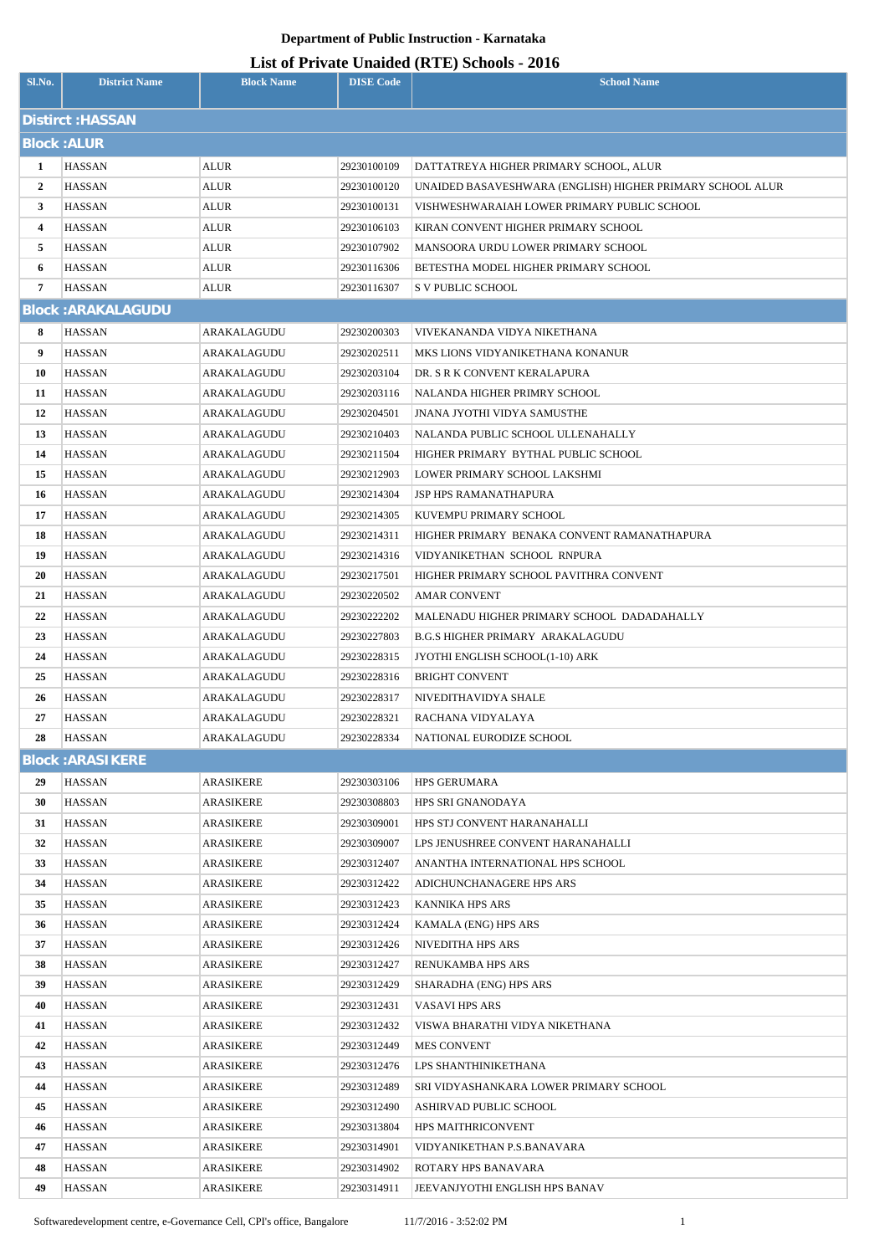| Sl.No.                   | <b>District Name</b>      | <b>Block Name</b>      | <b>DISE Code</b>           | $\mu$ <sub>15</sub> of T <sub>11</sub> , and Onatucu (IVIII) behoofs $\mu$ <sub>010</sub><br><b>School Name</b> |  |  |
|--------------------------|---------------------------|------------------------|----------------------------|-----------------------------------------------------------------------------------------------------------------|--|--|
| <b>Distirct : HASSAN</b> |                           |                        |                            |                                                                                                                 |  |  |
|                          | <b>Block: ALUR</b>        |                        |                            |                                                                                                                 |  |  |
| $\mathbf{1}$             |                           | ALUR                   |                            |                                                                                                                 |  |  |
| $\mathbf{2}$             | HASSAN<br><b>HASSAN</b>   | ALUR                   | 29230100109<br>29230100120 | DATTATREYA HIGHER PRIMARY SCHOOL, ALUR<br>UNAIDED BASAVESHWARA (ENGLISH) HIGHER PRIMARY SCHOOL ALUR             |  |  |
| 3                        | HASSAN                    | ALUR                   | 29230100131                | VISHWESHWARAIAH LOWER PRIMARY PUBLIC SCHOOL                                                                     |  |  |
| 4                        | <b>HASSAN</b>             | ALUR                   | 29230106103                | KIRAN CONVENT HIGHER PRIMARY SCHOOL                                                                             |  |  |
| 5                        | HASSAN                    | <b>ALUR</b>            | 29230107902                | MANSOORA URDU LOWER PRIMARY SCHOOL                                                                              |  |  |
| 6                        | <b>HASSAN</b>             | <b>ALUR</b>            | 29230116306                | BETESTHA MODEL HIGHER PRIMARY SCHOOL                                                                            |  |  |
| 7                        | HASSAN                    | <b>ALUR</b>            | 29230116307                | S V PUBLIC SCHOOL                                                                                               |  |  |
|                          | <b>Block: ARAKALAGUDU</b> |                        |                            |                                                                                                                 |  |  |
| 8                        | <b>HASSAN</b>             | ARAKALAGUDU            | 29230200303                | VIVEKANANDA VIDYA NIKETHANA                                                                                     |  |  |
| 9                        | <b>HASSAN</b>             | ARAKALAGUDU            | 29230202511                | MKS LIONS VIDYANIKETHANA KONANUR                                                                                |  |  |
| 10                       | HASSAN                    | ARAKALAGUDU            | 29230203104                | DR. S R K CONVENT KERALAPURA                                                                                    |  |  |
| 11                       | <b>HASSAN</b>             | ARAKALAGUDU            | 29230203116                | NALANDA HIGHER PRIMRY SCHOOL                                                                                    |  |  |
| 12                       | HASSAN                    | ARAKALAGUDU            | 29230204501                | JNANA JYOTHI VIDYA SAMUSTHE                                                                                     |  |  |
| 13                       | HASSAN                    | ARAKALAGUDU            | 29230210403                | NALANDA PUBLIC SCHOOL ULLENAHALLY                                                                               |  |  |
| 14                       | HASSAN                    | ARAKALAGUDU            | 29230211504                | HIGHER PRIMARY BYTHAL PUBLIC SCHOOL                                                                             |  |  |
| 15                       | <b>HASSAN</b>             | ARAKALAGUDU            | 29230212903                | LOWER PRIMARY SCHOOL LAKSHMI                                                                                    |  |  |
| 16                       | HASSAN                    | ARAKALAGUDU            | 29230214304                | JSP HPS RAMANATHAPURA                                                                                           |  |  |
| 17                       | <b>HASSAN</b>             | ARAKALAGUDU            | 29230214305                | KUVEMPU PRIMARY SCHOOL                                                                                          |  |  |
| 18                       | HASSAN                    | ARAKALAGUDU            | 29230214311                | HIGHER PRIMARY BENAKA CONVENT RAMANATHAPURA                                                                     |  |  |
| 19                       | <b>HASSAN</b>             | ARAKALAGUDU            | 29230214316                | VIDYANIKETHAN SCHOOL RNPURA                                                                                     |  |  |
| 20                       | HASSAN                    | ARAKALAGUDU            | 29230217501                | HIGHER PRIMARY SCHOOL PAVITHRA CONVENT                                                                          |  |  |
| 21                       | <b>HASSAN</b>             | ARAKALAGUDU            | 29230220502                | <b>AMAR CONVENT</b>                                                                                             |  |  |
| 22                       | HASSAN                    | ARAKALAGUDU            | 29230222202                | MALENADU HIGHER PRIMARY SCHOOL DADADAHALLY                                                                      |  |  |
| 23                       | <b>HASSAN</b>             | ARAKALAGUDU            | 29230227803                | <b>B.G.S HIGHER PRIMARY ARAKALAGUDU</b>                                                                         |  |  |
| 24                       | <b>HASSAN</b>             | ARAKALAGUDU            | 29230228315                | JYOTHI ENGLISH SCHOOL(1-10) ARK                                                                                 |  |  |
| 25                       | <b>HASSAN</b>             | ARAKALAGUDU            | 29230228316                | <b>BRIGHT CONVENT</b>                                                                                           |  |  |
| 26                       | HASSAN                    | ARAKALAGUDU            | 29230228317                | NIVEDITHAVIDYA SHALE                                                                                            |  |  |
| 27                       | <b>HASSAN</b>             | ARAKALAGUDU            | 29230228321                | RACHANA VIDYALAYA                                                                                               |  |  |
| 28                       | HASSAN                    | ARAKALAGUDU            | 29230228334                | NATIONAL EURODIZE SCHOOL                                                                                        |  |  |
|                          | <b>Block: ARASIKERE</b>   |                        |                            |                                                                                                                 |  |  |
| 29                       | <b>HASSAN</b>             | ARASIKERE              | 29230303106                | <b>HPS GERUMARA</b>                                                                                             |  |  |
| 30                       | <b>HASSAN</b>             | <b>ARASIKERE</b>       | 29230308803                | HPS SRI GNANODAYA                                                                                               |  |  |
| 31                       | HASSAN                    | <b>ARASIKERE</b>       | 29230309001                | HPS STJ CONVENT HARANAHALLI                                                                                     |  |  |
| 32                       | HASSAN                    | ARASIKERE              | 29230309007                | LPS JENUSHREE CONVENT HARANAHALLI                                                                               |  |  |
| 33                       | HASSAN                    | ARASIKERE              | 29230312407                | ANANTHA INTERNATIONAL HPS SCHOOL                                                                                |  |  |
| 34                       | HASSAN                    | ARASIKERE              | 29230312422                | ADICHUNCHANAGERE HPS ARS                                                                                        |  |  |
| 35                       | HASSAN                    | ARASIKERE              | 29230312423                | KANNIKA HPS ARS                                                                                                 |  |  |
| 36                       | HASSAN                    | ARASIKERE              | 29230312424                | KAMALA (ENG) HPS ARS                                                                                            |  |  |
| 37                       | HASSAN                    | ARASIKERE              | 29230312426                | NIVEDITHA HPS ARS                                                                                               |  |  |
| 38                       | HASSAN                    | ARASIKERE              | 29230312427                | RENUKAMBA HPS ARS                                                                                               |  |  |
| 39                       | HASSAN                    | ARASIKERE              | 29230312429                | SHARADHA (ENG) HPS ARS                                                                                          |  |  |
| 40                       | HASSAN                    | ARASIKERE              | 29230312431                | VASAVI HPS ARS                                                                                                  |  |  |
| 41<br>42                 | HASSAN<br>HASSAN          | ARASIKERE<br>ARASIKERE | 29230312432<br>29230312449 | VISWA BHARATHI VIDYA NIKETHANA<br><b>MES CONVENT</b>                                                            |  |  |
| 43                       | HASSAN                    | ARASIKERE              | 29230312476                | LPS SHANTHINIKETHANA                                                                                            |  |  |
| 44                       | HASSAN                    | ARASIKERE              | 29230312489                | SRI VIDYASHANKARA LOWER PRIMARY SCHOOL                                                                          |  |  |
| 45                       | HASSAN                    | <b>ARASIKERE</b>       | 29230312490                | ASHIRVAD PUBLIC SCHOOL                                                                                          |  |  |
| 46                       | HASSAN                    | ARASIKERE              | 29230313804                | HPS MAITHRICONVENT                                                                                              |  |  |
| 47                       | HASSAN                    | ARASIKERE              | 29230314901                | VIDYANIKETHAN P.S.BANAVARA                                                                                      |  |  |
| 48                       | HASSAN                    | <b>ARASIKERE</b>       | 29230314902                | ROTARY HPS BANAVARA                                                                                             |  |  |
| 49                       | HASSAN                    | <b>ARASIKERE</b>       | 29230314911                | JEEVANJYOTHI ENGLISH HPS BANAV                                                                                  |  |  |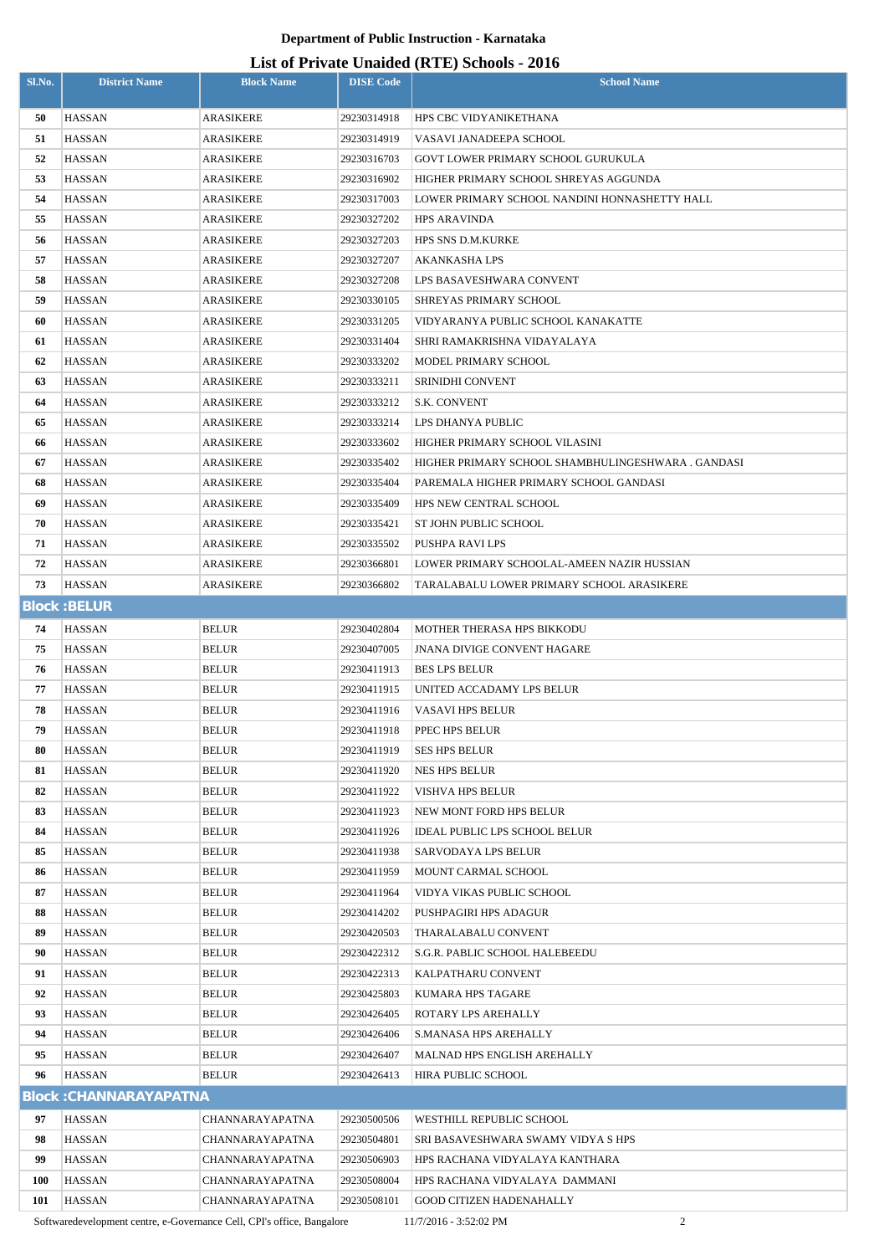#### **List of Private Unaided (RTE) Schools - 2016**

| 50<br><b>HASSAN</b><br><b>ARASIKERE</b><br>29230314918<br>HPS CBC VIDYANIKETHANA<br>51<br><b>HASSAN</b><br><b>ARASIKERE</b><br>VASAVI JANADEEPA SCHOOL<br>29230314919<br>52<br><b>HASSAN</b><br><b>ARASIKERE</b><br>29230316703<br>GOVT LOWER PRIMARY SCHOOL GURUKULA<br>53<br><b>HASSAN</b><br><b>ARASIKERE</b><br>HIGHER PRIMARY SCHOOL SHREYAS AGGUNDA<br>29230316902<br>54<br><b>HASSAN</b><br><b>ARASIKERE</b><br>29230317003<br>LOWER PRIMARY SCHOOL NANDINI HONNASHETTY HALL<br>55<br><b>HASSAN</b><br><b>HPS ARAVINDA</b><br>ARASIKERE<br>29230327202<br><b>HASSAN</b><br><b>ARASIKERE</b><br>29230327203<br>HPS SNS D.M.KURKE<br>56<br>57<br><b>HASSAN</b><br><b>ARASIKERE</b><br>29230327207<br><b>AKANKASHA LPS</b><br>58<br><b>HASSAN</b><br>ARASIKERE<br>29230327208<br>LPS BASAVESHWARA CONVENT<br>59<br><b>HASSAN</b><br>ARASIKERE<br>29230330105<br>SHREYAS PRIMARY SCHOOL<br>60<br><b>HASSAN</b><br><b>ARASIKERE</b><br>29230331205<br>VIDYARANYA PUBLIC SCHOOL KANAKATTE<br>61<br><b>HASSAN</b><br><b>ARASIKERE</b><br>29230331404<br>SHRI RAMAKRISHNA VIDAYALAYA<br>62<br><b>HASSAN</b><br><b>ARASIKERE</b><br>29230333202<br>MODEL PRIMARY SCHOOL<br>63<br><b>HASSAN</b><br><b>ARASIKERE</b><br>29230333211<br>SRINIDHI CONVENT<br>64<br><b>HASSAN</b><br><b>ARASIKERE</b><br>29230333212<br>S.K. CONVENT<br>65<br><b>HASSAN</b><br><b>ARASIKERE</b><br>29230333214<br>LPS DHANYA PUBLIC<br><b>HASSAN</b><br><b>ARASIKERE</b><br>29230333602<br>HIGHER PRIMARY SCHOOL VILASINI<br>66<br>67<br><b>HASSAN</b><br>ARASIKERE<br>29230335402<br>HIGHER PRIMARY SCHOOL SHAMBHULINGESHWARA . GANDASI<br>68<br><b>HASSAN</b><br><b>ARASIKERE</b><br>29230335404<br>PAREMALA HIGHER PRIMARY SCHOOL GANDASI<br>69<br><b>HASSAN</b><br><b>ARASIKERE</b><br>29230335409<br>HPS NEW CENTRAL SCHOOL<br>70<br><b>HASSAN</b><br><b>ARASIKERE</b><br>29230335421<br>ST JOHN PUBLIC SCHOOL<br><b>HASSAN</b><br><b>ARASIKERE</b><br>29230335502<br>71<br>PUSHPA RAVI LPS<br>72<br><b>HASSAN</b><br><b>ARASIKERE</b><br>29230366801<br>LOWER PRIMARY SCHOOLAL-AMEEN NAZIR HUSSIAN<br>73<br><b>HASSAN</b><br><b>ARASIKERE</b><br>29230366802<br>TARALABALU LOWER PRIMARY SCHOOL ARASIKERE<br><b>Block: BELUR</b><br><b>HASSAN</b><br><b>BELUR</b><br>74<br>29230402804<br>MOTHER THERASA HPS BIKKODU<br>75<br><b>HASSAN</b><br><b>BELUR</b><br>29230407005<br><b>JNANA DIVIGE CONVENT HAGARE</b><br><b>HASSAN</b><br><b>BELUR</b><br>29230411913<br>76<br><b>BES LPS BELUR</b><br><b>HASSAN</b><br><b>BELUR</b><br>77<br>29230411915<br>UNITED ACCADAMY LPS BELUR<br>78<br><b>HASSAN</b><br><b>BELUR</b><br>29230411916<br>VASAVI HPS BELUR<br>79<br><b>HASSAN</b><br><b>BELUR</b><br>29230411918<br>PPEC HPS BELUR<br>80<br><b>HASSAN</b><br><b>BELUR</b><br>29230411919<br><b>SES HPS BELUR</b><br>81<br><b>HASSAN</b><br><b>BELUR</b><br>29230411920<br><b>NES HPS BELUR</b><br>82<br><b>HASSAN</b><br><b>BELUR</b><br>29230411922<br>VISHVA HPS BELUR<br>83<br><b>HASSAN</b><br><b>BELUR</b><br>29230411923<br>NEW MONT FORD HPS BELUR<br>84<br><b>HASSAN</b><br><b>BELUR</b><br>29230411926<br><b>IDEAL PUBLIC LPS SCHOOL BELUR</b><br>85<br><b>HASSAN</b><br><b>BELUR</b><br>29230411938<br>SARVODAYA LPS BELUR<br>86<br><b>HASSAN</b><br><b>BELUR</b><br>29230411959<br>MOUNT CARMAL SCHOOL<br>87<br><b>HASSAN</b><br><b>BELUR</b><br>29230411964<br>VIDYA VIKAS PUBLIC SCHOOL<br>88<br><b>HASSAN</b><br><b>BELUR</b><br>PUSHPAGIRI HPS ADAGUR<br>29230414202<br>89<br><b>HASSAN</b><br><b>BELUR</b><br>29230420503<br>THARALABALU CONVENT<br>90<br>29230422312<br>HASSAN<br><b>BELUR</b><br>S.G.R. PABLIC SCHOOL HALEBEEDU<br>91<br><b>HASSAN</b><br><b>BELUR</b><br>29230422313<br>KALPATHARU CONVENT<br>92<br><b>HASSAN</b><br><b>BELUR</b><br>29230425803<br>KUMARA HPS TAGARE<br>93<br><b>HASSAN</b><br><b>BELUR</b><br>29230426405<br>ROTARY LPS AREHALLY<br>94<br><b>BELUR</b><br>29230426406<br><b>S.MANASA HPS AREHALLY</b><br>HASSAN<br>95<br><b>HASSAN</b><br><b>BELUR</b><br>MALNAD HPS ENGLISH AREHALLY<br>29230426407<br>96<br><b>HASSAN</b><br><b>BELUR</b><br>29230426413<br>HIRA PUBLIC SCHOOL<br>Block: CHANNARAYAPATNA<br><b>HASSAN</b><br>97<br><b>CHANNARAYAPATNA</b><br>29230500506<br>WESTHILL REPUBLIC SCHOOL<br>98<br><b>HASSAN</b><br>29230504801<br>SRI BASAVESHWARA SWAMY VIDYA S HPS<br>CHANNARAYAPATNA<br>99<br><b>HASSAN</b><br>29230506903<br>HPS RACHANA VIDYALAYA KANTHARA<br><b>CHANNARAYAPATNA</b><br><b>HASSAN</b><br>29230508004<br>HPS RACHANA VIDYALAYA DAMMANI<br><b>100</b><br>CHANNARAYAPATNA<br><b>HASSAN</b><br>101<br><b>CHANNARAYAPATNA</b><br>29230508101<br><b>GOOD CITIZEN HADENAHALLY</b> | Sl.No. | <b>District Name</b> | <b>Block Name</b> | <b>DISE Code</b> | $\frac{1}{2}$<br><b>School Name</b> |
|----------------------------------------------------------------------------------------------------------------------------------------------------------------------------------------------------------------------------------------------------------------------------------------------------------------------------------------------------------------------------------------------------------------------------------------------------------------------------------------------------------------------------------------------------------------------------------------------------------------------------------------------------------------------------------------------------------------------------------------------------------------------------------------------------------------------------------------------------------------------------------------------------------------------------------------------------------------------------------------------------------------------------------------------------------------------------------------------------------------------------------------------------------------------------------------------------------------------------------------------------------------------------------------------------------------------------------------------------------------------------------------------------------------------------------------------------------------------------------------------------------------------------------------------------------------------------------------------------------------------------------------------------------------------------------------------------------------------------------------------------------------------------------------------------------------------------------------------------------------------------------------------------------------------------------------------------------------------------------------------------------------------------------------------------------------------------------------------------------------------------------------------------------------------------------------------------------------------------------------------------------------------------------------------------------------------------------------------------------------------------------------------------------------------------------------------------------------------------------------------------------------------------------------------------------------------------------------------------------------------------------------------------------------------------------------------------------------------------------------------------------------------------------------------------------------------------------------------------------------------------------------------------------------------------------------------------------------------------------------------------------------------------------------------------------------------------------------------------------------------------------------------------------------------------------------------------------------------------------------------------------------------------------------------------------------------------------------------------------------------------------------------------------------------------------------------------------------------------------------------------------------------------------------------------------------------------------------------------------------------------------------------------------------------------------------------------------------------------------------------------------------------------------------------------------------------------------------------------------------------------------------------------------------------------------------------------------------------------------------------------------------------------------------------------------------------------------------------------------------------------------------------------------------------------------------------------------------------------------------------------------------------------------------------------------------------------------------------------------------------------------------------------------------------------------------------------------------------------------------------------------------------------------------------------------------------------------------------------------------------------------------------------|--------|----------------------|-------------------|------------------|-------------------------------------|
|                                                                                                                                                                                                                                                                                                                                                                                                                                                                                                                                                                                                                                                                                                                                                                                                                                                                                                                                                                                                                                                                                                                                                                                                                                                                                                                                                                                                                                                                                                                                                                                                                                                                                                                                                                                                                                                                                                                                                                                                                                                                                                                                                                                                                                                                                                                                                                                                                                                                                                                                                                                                                                                                                                                                                                                                                                                                                                                                                                                                                                                                                                                                                                                                                                                                                                                                                                                                                                                                                                                                                                                                                                                                                                                                                                                                                                                                                                                                                                                                                                                                                                                                                                                                                                                                                                                                                                                                                                                                                                                                                                                                                                                    |        |                      |                   |                  |                                     |
|                                                                                                                                                                                                                                                                                                                                                                                                                                                                                                                                                                                                                                                                                                                                                                                                                                                                                                                                                                                                                                                                                                                                                                                                                                                                                                                                                                                                                                                                                                                                                                                                                                                                                                                                                                                                                                                                                                                                                                                                                                                                                                                                                                                                                                                                                                                                                                                                                                                                                                                                                                                                                                                                                                                                                                                                                                                                                                                                                                                                                                                                                                                                                                                                                                                                                                                                                                                                                                                                                                                                                                                                                                                                                                                                                                                                                                                                                                                                                                                                                                                                                                                                                                                                                                                                                                                                                                                                                                                                                                                                                                                                                                                    |        |                      |                   |                  |                                     |
|                                                                                                                                                                                                                                                                                                                                                                                                                                                                                                                                                                                                                                                                                                                                                                                                                                                                                                                                                                                                                                                                                                                                                                                                                                                                                                                                                                                                                                                                                                                                                                                                                                                                                                                                                                                                                                                                                                                                                                                                                                                                                                                                                                                                                                                                                                                                                                                                                                                                                                                                                                                                                                                                                                                                                                                                                                                                                                                                                                                                                                                                                                                                                                                                                                                                                                                                                                                                                                                                                                                                                                                                                                                                                                                                                                                                                                                                                                                                                                                                                                                                                                                                                                                                                                                                                                                                                                                                                                                                                                                                                                                                                                                    |        |                      |                   |                  |                                     |
|                                                                                                                                                                                                                                                                                                                                                                                                                                                                                                                                                                                                                                                                                                                                                                                                                                                                                                                                                                                                                                                                                                                                                                                                                                                                                                                                                                                                                                                                                                                                                                                                                                                                                                                                                                                                                                                                                                                                                                                                                                                                                                                                                                                                                                                                                                                                                                                                                                                                                                                                                                                                                                                                                                                                                                                                                                                                                                                                                                                                                                                                                                                                                                                                                                                                                                                                                                                                                                                                                                                                                                                                                                                                                                                                                                                                                                                                                                                                                                                                                                                                                                                                                                                                                                                                                                                                                                                                                                                                                                                                                                                                                                                    |        |                      |                   |                  |                                     |
|                                                                                                                                                                                                                                                                                                                                                                                                                                                                                                                                                                                                                                                                                                                                                                                                                                                                                                                                                                                                                                                                                                                                                                                                                                                                                                                                                                                                                                                                                                                                                                                                                                                                                                                                                                                                                                                                                                                                                                                                                                                                                                                                                                                                                                                                                                                                                                                                                                                                                                                                                                                                                                                                                                                                                                                                                                                                                                                                                                                                                                                                                                                                                                                                                                                                                                                                                                                                                                                                                                                                                                                                                                                                                                                                                                                                                                                                                                                                                                                                                                                                                                                                                                                                                                                                                                                                                                                                                                                                                                                                                                                                                                                    |        |                      |                   |                  |                                     |
|                                                                                                                                                                                                                                                                                                                                                                                                                                                                                                                                                                                                                                                                                                                                                                                                                                                                                                                                                                                                                                                                                                                                                                                                                                                                                                                                                                                                                                                                                                                                                                                                                                                                                                                                                                                                                                                                                                                                                                                                                                                                                                                                                                                                                                                                                                                                                                                                                                                                                                                                                                                                                                                                                                                                                                                                                                                                                                                                                                                                                                                                                                                                                                                                                                                                                                                                                                                                                                                                                                                                                                                                                                                                                                                                                                                                                                                                                                                                                                                                                                                                                                                                                                                                                                                                                                                                                                                                                                                                                                                                                                                                                                                    |        |                      |                   |                  |                                     |
|                                                                                                                                                                                                                                                                                                                                                                                                                                                                                                                                                                                                                                                                                                                                                                                                                                                                                                                                                                                                                                                                                                                                                                                                                                                                                                                                                                                                                                                                                                                                                                                                                                                                                                                                                                                                                                                                                                                                                                                                                                                                                                                                                                                                                                                                                                                                                                                                                                                                                                                                                                                                                                                                                                                                                                                                                                                                                                                                                                                                                                                                                                                                                                                                                                                                                                                                                                                                                                                                                                                                                                                                                                                                                                                                                                                                                                                                                                                                                                                                                                                                                                                                                                                                                                                                                                                                                                                                                                                                                                                                                                                                                                                    |        |                      |                   |                  |                                     |
|                                                                                                                                                                                                                                                                                                                                                                                                                                                                                                                                                                                                                                                                                                                                                                                                                                                                                                                                                                                                                                                                                                                                                                                                                                                                                                                                                                                                                                                                                                                                                                                                                                                                                                                                                                                                                                                                                                                                                                                                                                                                                                                                                                                                                                                                                                                                                                                                                                                                                                                                                                                                                                                                                                                                                                                                                                                                                                                                                                                                                                                                                                                                                                                                                                                                                                                                                                                                                                                                                                                                                                                                                                                                                                                                                                                                                                                                                                                                                                                                                                                                                                                                                                                                                                                                                                                                                                                                                                                                                                                                                                                                                                                    |        |                      |                   |                  |                                     |
|                                                                                                                                                                                                                                                                                                                                                                                                                                                                                                                                                                                                                                                                                                                                                                                                                                                                                                                                                                                                                                                                                                                                                                                                                                                                                                                                                                                                                                                                                                                                                                                                                                                                                                                                                                                                                                                                                                                                                                                                                                                                                                                                                                                                                                                                                                                                                                                                                                                                                                                                                                                                                                                                                                                                                                                                                                                                                                                                                                                                                                                                                                                                                                                                                                                                                                                                                                                                                                                                                                                                                                                                                                                                                                                                                                                                                                                                                                                                                                                                                                                                                                                                                                                                                                                                                                                                                                                                                                                                                                                                                                                                                                                    |        |                      |                   |                  |                                     |
|                                                                                                                                                                                                                                                                                                                                                                                                                                                                                                                                                                                                                                                                                                                                                                                                                                                                                                                                                                                                                                                                                                                                                                                                                                                                                                                                                                                                                                                                                                                                                                                                                                                                                                                                                                                                                                                                                                                                                                                                                                                                                                                                                                                                                                                                                                                                                                                                                                                                                                                                                                                                                                                                                                                                                                                                                                                                                                                                                                                                                                                                                                                                                                                                                                                                                                                                                                                                                                                                                                                                                                                                                                                                                                                                                                                                                                                                                                                                                                                                                                                                                                                                                                                                                                                                                                                                                                                                                                                                                                                                                                                                                                                    |        |                      |                   |                  |                                     |
|                                                                                                                                                                                                                                                                                                                                                                                                                                                                                                                                                                                                                                                                                                                                                                                                                                                                                                                                                                                                                                                                                                                                                                                                                                                                                                                                                                                                                                                                                                                                                                                                                                                                                                                                                                                                                                                                                                                                                                                                                                                                                                                                                                                                                                                                                                                                                                                                                                                                                                                                                                                                                                                                                                                                                                                                                                                                                                                                                                                                                                                                                                                                                                                                                                                                                                                                                                                                                                                                                                                                                                                                                                                                                                                                                                                                                                                                                                                                                                                                                                                                                                                                                                                                                                                                                                                                                                                                                                                                                                                                                                                                                                                    |        |                      |                   |                  |                                     |
|                                                                                                                                                                                                                                                                                                                                                                                                                                                                                                                                                                                                                                                                                                                                                                                                                                                                                                                                                                                                                                                                                                                                                                                                                                                                                                                                                                                                                                                                                                                                                                                                                                                                                                                                                                                                                                                                                                                                                                                                                                                                                                                                                                                                                                                                                                                                                                                                                                                                                                                                                                                                                                                                                                                                                                                                                                                                                                                                                                                                                                                                                                                                                                                                                                                                                                                                                                                                                                                                                                                                                                                                                                                                                                                                                                                                                                                                                                                                                                                                                                                                                                                                                                                                                                                                                                                                                                                                                                                                                                                                                                                                                                                    |        |                      |                   |                  |                                     |
|                                                                                                                                                                                                                                                                                                                                                                                                                                                                                                                                                                                                                                                                                                                                                                                                                                                                                                                                                                                                                                                                                                                                                                                                                                                                                                                                                                                                                                                                                                                                                                                                                                                                                                                                                                                                                                                                                                                                                                                                                                                                                                                                                                                                                                                                                                                                                                                                                                                                                                                                                                                                                                                                                                                                                                                                                                                                                                                                                                                                                                                                                                                                                                                                                                                                                                                                                                                                                                                                                                                                                                                                                                                                                                                                                                                                                                                                                                                                                                                                                                                                                                                                                                                                                                                                                                                                                                                                                                                                                                                                                                                                                                                    |        |                      |                   |                  |                                     |
|                                                                                                                                                                                                                                                                                                                                                                                                                                                                                                                                                                                                                                                                                                                                                                                                                                                                                                                                                                                                                                                                                                                                                                                                                                                                                                                                                                                                                                                                                                                                                                                                                                                                                                                                                                                                                                                                                                                                                                                                                                                                                                                                                                                                                                                                                                                                                                                                                                                                                                                                                                                                                                                                                                                                                                                                                                                                                                                                                                                                                                                                                                                                                                                                                                                                                                                                                                                                                                                                                                                                                                                                                                                                                                                                                                                                                                                                                                                                                                                                                                                                                                                                                                                                                                                                                                                                                                                                                                                                                                                                                                                                                                                    |        |                      |                   |                  |                                     |
|                                                                                                                                                                                                                                                                                                                                                                                                                                                                                                                                                                                                                                                                                                                                                                                                                                                                                                                                                                                                                                                                                                                                                                                                                                                                                                                                                                                                                                                                                                                                                                                                                                                                                                                                                                                                                                                                                                                                                                                                                                                                                                                                                                                                                                                                                                                                                                                                                                                                                                                                                                                                                                                                                                                                                                                                                                                                                                                                                                                                                                                                                                                                                                                                                                                                                                                                                                                                                                                                                                                                                                                                                                                                                                                                                                                                                                                                                                                                                                                                                                                                                                                                                                                                                                                                                                                                                                                                                                                                                                                                                                                                                                                    |        |                      |                   |                  |                                     |
|                                                                                                                                                                                                                                                                                                                                                                                                                                                                                                                                                                                                                                                                                                                                                                                                                                                                                                                                                                                                                                                                                                                                                                                                                                                                                                                                                                                                                                                                                                                                                                                                                                                                                                                                                                                                                                                                                                                                                                                                                                                                                                                                                                                                                                                                                                                                                                                                                                                                                                                                                                                                                                                                                                                                                                                                                                                                                                                                                                                                                                                                                                                                                                                                                                                                                                                                                                                                                                                                                                                                                                                                                                                                                                                                                                                                                                                                                                                                                                                                                                                                                                                                                                                                                                                                                                                                                                                                                                                                                                                                                                                                                                                    |        |                      |                   |                  |                                     |
|                                                                                                                                                                                                                                                                                                                                                                                                                                                                                                                                                                                                                                                                                                                                                                                                                                                                                                                                                                                                                                                                                                                                                                                                                                                                                                                                                                                                                                                                                                                                                                                                                                                                                                                                                                                                                                                                                                                                                                                                                                                                                                                                                                                                                                                                                                                                                                                                                                                                                                                                                                                                                                                                                                                                                                                                                                                                                                                                                                                                                                                                                                                                                                                                                                                                                                                                                                                                                                                                                                                                                                                                                                                                                                                                                                                                                                                                                                                                                                                                                                                                                                                                                                                                                                                                                                                                                                                                                                                                                                                                                                                                                                                    |        |                      |                   |                  |                                     |
|                                                                                                                                                                                                                                                                                                                                                                                                                                                                                                                                                                                                                                                                                                                                                                                                                                                                                                                                                                                                                                                                                                                                                                                                                                                                                                                                                                                                                                                                                                                                                                                                                                                                                                                                                                                                                                                                                                                                                                                                                                                                                                                                                                                                                                                                                                                                                                                                                                                                                                                                                                                                                                                                                                                                                                                                                                                                                                                                                                                                                                                                                                                                                                                                                                                                                                                                                                                                                                                                                                                                                                                                                                                                                                                                                                                                                                                                                                                                                                                                                                                                                                                                                                                                                                                                                                                                                                                                                                                                                                                                                                                                                                                    |        |                      |                   |                  |                                     |
|                                                                                                                                                                                                                                                                                                                                                                                                                                                                                                                                                                                                                                                                                                                                                                                                                                                                                                                                                                                                                                                                                                                                                                                                                                                                                                                                                                                                                                                                                                                                                                                                                                                                                                                                                                                                                                                                                                                                                                                                                                                                                                                                                                                                                                                                                                                                                                                                                                                                                                                                                                                                                                                                                                                                                                                                                                                                                                                                                                                                                                                                                                                                                                                                                                                                                                                                                                                                                                                                                                                                                                                                                                                                                                                                                                                                                                                                                                                                                                                                                                                                                                                                                                                                                                                                                                                                                                                                                                                                                                                                                                                                                                                    |        |                      |                   |                  |                                     |
|                                                                                                                                                                                                                                                                                                                                                                                                                                                                                                                                                                                                                                                                                                                                                                                                                                                                                                                                                                                                                                                                                                                                                                                                                                                                                                                                                                                                                                                                                                                                                                                                                                                                                                                                                                                                                                                                                                                                                                                                                                                                                                                                                                                                                                                                                                                                                                                                                                                                                                                                                                                                                                                                                                                                                                                                                                                                                                                                                                                                                                                                                                                                                                                                                                                                                                                                                                                                                                                                                                                                                                                                                                                                                                                                                                                                                                                                                                                                                                                                                                                                                                                                                                                                                                                                                                                                                                                                                                                                                                                                                                                                                                                    |        |                      |                   |                  |                                     |
|                                                                                                                                                                                                                                                                                                                                                                                                                                                                                                                                                                                                                                                                                                                                                                                                                                                                                                                                                                                                                                                                                                                                                                                                                                                                                                                                                                                                                                                                                                                                                                                                                                                                                                                                                                                                                                                                                                                                                                                                                                                                                                                                                                                                                                                                                                                                                                                                                                                                                                                                                                                                                                                                                                                                                                                                                                                                                                                                                                                                                                                                                                                                                                                                                                                                                                                                                                                                                                                                                                                                                                                                                                                                                                                                                                                                                                                                                                                                                                                                                                                                                                                                                                                                                                                                                                                                                                                                                                                                                                                                                                                                                                                    |        |                      |                   |                  |                                     |
|                                                                                                                                                                                                                                                                                                                                                                                                                                                                                                                                                                                                                                                                                                                                                                                                                                                                                                                                                                                                                                                                                                                                                                                                                                                                                                                                                                                                                                                                                                                                                                                                                                                                                                                                                                                                                                                                                                                                                                                                                                                                                                                                                                                                                                                                                                                                                                                                                                                                                                                                                                                                                                                                                                                                                                                                                                                                                                                                                                                                                                                                                                                                                                                                                                                                                                                                                                                                                                                                                                                                                                                                                                                                                                                                                                                                                                                                                                                                                                                                                                                                                                                                                                                                                                                                                                                                                                                                                                                                                                                                                                                                                                                    |        |                      |                   |                  |                                     |
|                                                                                                                                                                                                                                                                                                                                                                                                                                                                                                                                                                                                                                                                                                                                                                                                                                                                                                                                                                                                                                                                                                                                                                                                                                                                                                                                                                                                                                                                                                                                                                                                                                                                                                                                                                                                                                                                                                                                                                                                                                                                                                                                                                                                                                                                                                                                                                                                                                                                                                                                                                                                                                                                                                                                                                                                                                                                                                                                                                                                                                                                                                                                                                                                                                                                                                                                                                                                                                                                                                                                                                                                                                                                                                                                                                                                                                                                                                                                                                                                                                                                                                                                                                                                                                                                                                                                                                                                                                                                                                                                                                                                                                                    |        |                      |                   |                  |                                     |
|                                                                                                                                                                                                                                                                                                                                                                                                                                                                                                                                                                                                                                                                                                                                                                                                                                                                                                                                                                                                                                                                                                                                                                                                                                                                                                                                                                                                                                                                                                                                                                                                                                                                                                                                                                                                                                                                                                                                                                                                                                                                                                                                                                                                                                                                                                                                                                                                                                                                                                                                                                                                                                                                                                                                                                                                                                                                                                                                                                                                                                                                                                                                                                                                                                                                                                                                                                                                                                                                                                                                                                                                                                                                                                                                                                                                                                                                                                                                                                                                                                                                                                                                                                                                                                                                                                                                                                                                                                                                                                                                                                                                                                                    |        |                      |                   |                  |                                     |
|                                                                                                                                                                                                                                                                                                                                                                                                                                                                                                                                                                                                                                                                                                                                                                                                                                                                                                                                                                                                                                                                                                                                                                                                                                                                                                                                                                                                                                                                                                                                                                                                                                                                                                                                                                                                                                                                                                                                                                                                                                                                                                                                                                                                                                                                                                                                                                                                                                                                                                                                                                                                                                                                                                                                                                                                                                                                                                                                                                                                                                                                                                                                                                                                                                                                                                                                                                                                                                                                                                                                                                                                                                                                                                                                                                                                                                                                                                                                                                                                                                                                                                                                                                                                                                                                                                                                                                                                                                                                                                                                                                                                                                                    |        |                      |                   |                  |                                     |
|                                                                                                                                                                                                                                                                                                                                                                                                                                                                                                                                                                                                                                                                                                                                                                                                                                                                                                                                                                                                                                                                                                                                                                                                                                                                                                                                                                                                                                                                                                                                                                                                                                                                                                                                                                                                                                                                                                                                                                                                                                                                                                                                                                                                                                                                                                                                                                                                                                                                                                                                                                                                                                                                                                                                                                                                                                                                                                                                                                                                                                                                                                                                                                                                                                                                                                                                                                                                                                                                                                                                                                                                                                                                                                                                                                                                                                                                                                                                                                                                                                                                                                                                                                                                                                                                                                                                                                                                                                                                                                                                                                                                                                                    |        |                      |                   |                  |                                     |
|                                                                                                                                                                                                                                                                                                                                                                                                                                                                                                                                                                                                                                                                                                                                                                                                                                                                                                                                                                                                                                                                                                                                                                                                                                                                                                                                                                                                                                                                                                                                                                                                                                                                                                                                                                                                                                                                                                                                                                                                                                                                                                                                                                                                                                                                                                                                                                                                                                                                                                                                                                                                                                                                                                                                                                                                                                                                                                                                                                                                                                                                                                                                                                                                                                                                                                                                                                                                                                                                                                                                                                                                                                                                                                                                                                                                                                                                                                                                                                                                                                                                                                                                                                                                                                                                                                                                                                                                                                                                                                                                                                                                                                                    |        |                      |                   |                  |                                     |
|                                                                                                                                                                                                                                                                                                                                                                                                                                                                                                                                                                                                                                                                                                                                                                                                                                                                                                                                                                                                                                                                                                                                                                                                                                                                                                                                                                                                                                                                                                                                                                                                                                                                                                                                                                                                                                                                                                                                                                                                                                                                                                                                                                                                                                                                                                                                                                                                                                                                                                                                                                                                                                                                                                                                                                                                                                                                                                                                                                                                                                                                                                                                                                                                                                                                                                                                                                                                                                                                                                                                                                                                                                                                                                                                                                                                                                                                                                                                                                                                                                                                                                                                                                                                                                                                                                                                                                                                                                                                                                                                                                                                                                                    |        |                      |                   |                  |                                     |
|                                                                                                                                                                                                                                                                                                                                                                                                                                                                                                                                                                                                                                                                                                                                                                                                                                                                                                                                                                                                                                                                                                                                                                                                                                                                                                                                                                                                                                                                                                                                                                                                                                                                                                                                                                                                                                                                                                                                                                                                                                                                                                                                                                                                                                                                                                                                                                                                                                                                                                                                                                                                                                                                                                                                                                                                                                                                                                                                                                                                                                                                                                                                                                                                                                                                                                                                                                                                                                                                                                                                                                                                                                                                                                                                                                                                                                                                                                                                                                                                                                                                                                                                                                                                                                                                                                                                                                                                                                                                                                                                                                                                                                                    |        |                      |                   |                  |                                     |
|                                                                                                                                                                                                                                                                                                                                                                                                                                                                                                                                                                                                                                                                                                                                                                                                                                                                                                                                                                                                                                                                                                                                                                                                                                                                                                                                                                                                                                                                                                                                                                                                                                                                                                                                                                                                                                                                                                                                                                                                                                                                                                                                                                                                                                                                                                                                                                                                                                                                                                                                                                                                                                                                                                                                                                                                                                                                                                                                                                                                                                                                                                                                                                                                                                                                                                                                                                                                                                                                                                                                                                                                                                                                                                                                                                                                                                                                                                                                                                                                                                                                                                                                                                                                                                                                                                                                                                                                                                                                                                                                                                                                                                                    |        |                      |                   |                  |                                     |
|                                                                                                                                                                                                                                                                                                                                                                                                                                                                                                                                                                                                                                                                                                                                                                                                                                                                                                                                                                                                                                                                                                                                                                                                                                                                                                                                                                                                                                                                                                                                                                                                                                                                                                                                                                                                                                                                                                                                                                                                                                                                                                                                                                                                                                                                                                                                                                                                                                                                                                                                                                                                                                                                                                                                                                                                                                                                                                                                                                                                                                                                                                                                                                                                                                                                                                                                                                                                                                                                                                                                                                                                                                                                                                                                                                                                                                                                                                                                                                                                                                                                                                                                                                                                                                                                                                                                                                                                                                                                                                                                                                                                                                                    |        |                      |                   |                  |                                     |
|                                                                                                                                                                                                                                                                                                                                                                                                                                                                                                                                                                                                                                                                                                                                                                                                                                                                                                                                                                                                                                                                                                                                                                                                                                                                                                                                                                                                                                                                                                                                                                                                                                                                                                                                                                                                                                                                                                                                                                                                                                                                                                                                                                                                                                                                                                                                                                                                                                                                                                                                                                                                                                                                                                                                                                                                                                                                                                                                                                                                                                                                                                                                                                                                                                                                                                                                                                                                                                                                                                                                                                                                                                                                                                                                                                                                                                                                                                                                                                                                                                                                                                                                                                                                                                                                                                                                                                                                                                                                                                                                                                                                                                                    |        |                      |                   |                  |                                     |
|                                                                                                                                                                                                                                                                                                                                                                                                                                                                                                                                                                                                                                                                                                                                                                                                                                                                                                                                                                                                                                                                                                                                                                                                                                                                                                                                                                                                                                                                                                                                                                                                                                                                                                                                                                                                                                                                                                                                                                                                                                                                                                                                                                                                                                                                                                                                                                                                                                                                                                                                                                                                                                                                                                                                                                                                                                                                                                                                                                                                                                                                                                                                                                                                                                                                                                                                                                                                                                                                                                                                                                                                                                                                                                                                                                                                                                                                                                                                                                                                                                                                                                                                                                                                                                                                                                                                                                                                                                                                                                                                                                                                                                                    |        |                      |                   |                  |                                     |
|                                                                                                                                                                                                                                                                                                                                                                                                                                                                                                                                                                                                                                                                                                                                                                                                                                                                                                                                                                                                                                                                                                                                                                                                                                                                                                                                                                                                                                                                                                                                                                                                                                                                                                                                                                                                                                                                                                                                                                                                                                                                                                                                                                                                                                                                                                                                                                                                                                                                                                                                                                                                                                                                                                                                                                                                                                                                                                                                                                                                                                                                                                                                                                                                                                                                                                                                                                                                                                                                                                                                                                                                                                                                                                                                                                                                                                                                                                                                                                                                                                                                                                                                                                                                                                                                                                                                                                                                                                                                                                                                                                                                                                                    |        |                      |                   |                  |                                     |
|                                                                                                                                                                                                                                                                                                                                                                                                                                                                                                                                                                                                                                                                                                                                                                                                                                                                                                                                                                                                                                                                                                                                                                                                                                                                                                                                                                                                                                                                                                                                                                                                                                                                                                                                                                                                                                                                                                                                                                                                                                                                                                                                                                                                                                                                                                                                                                                                                                                                                                                                                                                                                                                                                                                                                                                                                                                                                                                                                                                                                                                                                                                                                                                                                                                                                                                                                                                                                                                                                                                                                                                                                                                                                                                                                                                                                                                                                                                                                                                                                                                                                                                                                                                                                                                                                                                                                                                                                                                                                                                                                                                                                                                    |        |                      |                   |                  |                                     |
|                                                                                                                                                                                                                                                                                                                                                                                                                                                                                                                                                                                                                                                                                                                                                                                                                                                                                                                                                                                                                                                                                                                                                                                                                                                                                                                                                                                                                                                                                                                                                                                                                                                                                                                                                                                                                                                                                                                                                                                                                                                                                                                                                                                                                                                                                                                                                                                                                                                                                                                                                                                                                                                                                                                                                                                                                                                                                                                                                                                                                                                                                                                                                                                                                                                                                                                                                                                                                                                                                                                                                                                                                                                                                                                                                                                                                                                                                                                                                                                                                                                                                                                                                                                                                                                                                                                                                                                                                                                                                                                                                                                                                                                    |        |                      |                   |                  |                                     |
|                                                                                                                                                                                                                                                                                                                                                                                                                                                                                                                                                                                                                                                                                                                                                                                                                                                                                                                                                                                                                                                                                                                                                                                                                                                                                                                                                                                                                                                                                                                                                                                                                                                                                                                                                                                                                                                                                                                                                                                                                                                                                                                                                                                                                                                                                                                                                                                                                                                                                                                                                                                                                                                                                                                                                                                                                                                                                                                                                                                                                                                                                                                                                                                                                                                                                                                                                                                                                                                                                                                                                                                                                                                                                                                                                                                                                                                                                                                                                                                                                                                                                                                                                                                                                                                                                                                                                                                                                                                                                                                                                                                                                                                    |        |                      |                   |                  |                                     |
|                                                                                                                                                                                                                                                                                                                                                                                                                                                                                                                                                                                                                                                                                                                                                                                                                                                                                                                                                                                                                                                                                                                                                                                                                                                                                                                                                                                                                                                                                                                                                                                                                                                                                                                                                                                                                                                                                                                                                                                                                                                                                                                                                                                                                                                                                                                                                                                                                                                                                                                                                                                                                                                                                                                                                                                                                                                                                                                                                                                                                                                                                                                                                                                                                                                                                                                                                                                                                                                                                                                                                                                                                                                                                                                                                                                                                                                                                                                                                                                                                                                                                                                                                                                                                                                                                                                                                                                                                                                                                                                                                                                                                                                    |        |                      |                   |                  |                                     |
|                                                                                                                                                                                                                                                                                                                                                                                                                                                                                                                                                                                                                                                                                                                                                                                                                                                                                                                                                                                                                                                                                                                                                                                                                                                                                                                                                                                                                                                                                                                                                                                                                                                                                                                                                                                                                                                                                                                                                                                                                                                                                                                                                                                                                                                                                                                                                                                                                                                                                                                                                                                                                                                                                                                                                                                                                                                                                                                                                                                                                                                                                                                                                                                                                                                                                                                                                                                                                                                                                                                                                                                                                                                                                                                                                                                                                                                                                                                                                                                                                                                                                                                                                                                                                                                                                                                                                                                                                                                                                                                                                                                                                                                    |        |                      |                   |                  |                                     |
|                                                                                                                                                                                                                                                                                                                                                                                                                                                                                                                                                                                                                                                                                                                                                                                                                                                                                                                                                                                                                                                                                                                                                                                                                                                                                                                                                                                                                                                                                                                                                                                                                                                                                                                                                                                                                                                                                                                                                                                                                                                                                                                                                                                                                                                                                                                                                                                                                                                                                                                                                                                                                                                                                                                                                                                                                                                                                                                                                                                                                                                                                                                                                                                                                                                                                                                                                                                                                                                                                                                                                                                                                                                                                                                                                                                                                                                                                                                                                                                                                                                                                                                                                                                                                                                                                                                                                                                                                                                                                                                                                                                                                                                    |        |                      |                   |                  |                                     |
|                                                                                                                                                                                                                                                                                                                                                                                                                                                                                                                                                                                                                                                                                                                                                                                                                                                                                                                                                                                                                                                                                                                                                                                                                                                                                                                                                                                                                                                                                                                                                                                                                                                                                                                                                                                                                                                                                                                                                                                                                                                                                                                                                                                                                                                                                                                                                                                                                                                                                                                                                                                                                                                                                                                                                                                                                                                                                                                                                                                                                                                                                                                                                                                                                                                                                                                                                                                                                                                                                                                                                                                                                                                                                                                                                                                                                                                                                                                                                                                                                                                                                                                                                                                                                                                                                                                                                                                                                                                                                                                                                                                                                                                    |        |                      |                   |                  |                                     |
|                                                                                                                                                                                                                                                                                                                                                                                                                                                                                                                                                                                                                                                                                                                                                                                                                                                                                                                                                                                                                                                                                                                                                                                                                                                                                                                                                                                                                                                                                                                                                                                                                                                                                                                                                                                                                                                                                                                                                                                                                                                                                                                                                                                                                                                                                                                                                                                                                                                                                                                                                                                                                                                                                                                                                                                                                                                                                                                                                                                                                                                                                                                                                                                                                                                                                                                                                                                                                                                                                                                                                                                                                                                                                                                                                                                                                                                                                                                                                                                                                                                                                                                                                                                                                                                                                                                                                                                                                                                                                                                                                                                                                                                    |        |                      |                   |                  |                                     |
|                                                                                                                                                                                                                                                                                                                                                                                                                                                                                                                                                                                                                                                                                                                                                                                                                                                                                                                                                                                                                                                                                                                                                                                                                                                                                                                                                                                                                                                                                                                                                                                                                                                                                                                                                                                                                                                                                                                                                                                                                                                                                                                                                                                                                                                                                                                                                                                                                                                                                                                                                                                                                                                                                                                                                                                                                                                                                                                                                                                                                                                                                                                                                                                                                                                                                                                                                                                                                                                                                                                                                                                                                                                                                                                                                                                                                                                                                                                                                                                                                                                                                                                                                                                                                                                                                                                                                                                                                                                                                                                                                                                                                                                    |        |                      |                   |                  |                                     |
|                                                                                                                                                                                                                                                                                                                                                                                                                                                                                                                                                                                                                                                                                                                                                                                                                                                                                                                                                                                                                                                                                                                                                                                                                                                                                                                                                                                                                                                                                                                                                                                                                                                                                                                                                                                                                                                                                                                                                                                                                                                                                                                                                                                                                                                                                                                                                                                                                                                                                                                                                                                                                                                                                                                                                                                                                                                                                                                                                                                                                                                                                                                                                                                                                                                                                                                                                                                                                                                                                                                                                                                                                                                                                                                                                                                                                                                                                                                                                                                                                                                                                                                                                                                                                                                                                                                                                                                                                                                                                                                                                                                                                                                    |        |                      |                   |                  |                                     |
|                                                                                                                                                                                                                                                                                                                                                                                                                                                                                                                                                                                                                                                                                                                                                                                                                                                                                                                                                                                                                                                                                                                                                                                                                                                                                                                                                                                                                                                                                                                                                                                                                                                                                                                                                                                                                                                                                                                                                                                                                                                                                                                                                                                                                                                                                                                                                                                                                                                                                                                                                                                                                                                                                                                                                                                                                                                                                                                                                                                                                                                                                                                                                                                                                                                                                                                                                                                                                                                                                                                                                                                                                                                                                                                                                                                                                                                                                                                                                                                                                                                                                                                                                                                                                                                                                                                                                                                                                                                                                                                                                                                                                                                    |        |                      |                   |                  |                                     |
|                                                                                                                                                                                                                                                                                                                                                                                                                                                                                                                                                                                                                                                                                                                                                                                                                                                                                                                                                                                                                                                                                                                                                                                                                                                                                                                                                                                                                                                                                                                                                                                                                                                                                                                                                                                                                                                                                                                                                                                                                                                                                                                                                                                                                                                                                                                                                                                                                                                                                                                                                                                                                                                                                                                                                                                                                                                                                                                                                                                                                                                                                                                                                                                                                                                                                                                                                                                                                                                                                                                                                                                                                                                                                                                                                                                                                                                                                                                                                                                                                                                                                                                                                                                                                                                                                                                                                                                                                                                                                                                                                                                                                                                    |        |                      |                   |                  |                                     |
|                                                                                                                                                                                                                                                                                                                                                                                                                                                                                                                                                                                                                                                                                                                                                                                                                                                                                                                                                                                                                                                                                                                                                                                                                                                                                                                                                                                                                                                                                                                                                                                                                                                                                                                                                                                                                                                                                                                                                                                                                                                                                                                                                                                                                                                                                                                                                                                                                                                                                                                                                                                                                                                                                                                                                                                                                                                                                                                                                                                                                                                                                                                                                                                                                                                                                                                                                                                                                                                                                                                                                                                                                                                                                                                                                                                                                                                                                                                                                                                                                                                                                                                                                                                                                                                                                                                                                                                                                                                                                                                                                                                                                                                    |        |                      |                   |                  |                                     |
|                                                                                                                                                                                                                                                                                                                                                                                                                                                                                                                                                                                                                                                                                                                                                                                                                                                                                                                                                                                                                                                                                                                                                                                                                                                                                                                                                                                                                                                                                                                                                                                                                                                                                                                                                                                                                                                                                                                                                                                                                                                                                                                                                                                                                                                                                                                                                                                                                                                                                                                                                                                                                                                                                                                                                                                                                                                                                                                                                                                                                                                                                                                                                                                                                                                                                                                                                                                                                                                                                                                                                                                                                                                                                                                                                                                                                                                                                                                                                                                                                                                                                                                                                                                                                                                                                                                                                                                                                                                                                                                                                                                                                                                    |        |                      |                   |                  |                                     |
|                                                                                                                                                                                                                                                                                                                                                                                                                                                                                                                                                                                                                                                                                                                                                                                                                                                                                                                                                                                                                                                                                                                                                                                                                                                                                                                                                                                                                                                                                                                                                                                                                                                                                                                                                                                                                                                                                                                                                                                                                                                                                                                                                                                                                                                                                                                                                                                                                                                                                                                                                                                                                                                                                                                                                                                                                                                                                                                                                                                                                                                                                                                                                                                                                                                                                                                                                                                                                                                                                                                                                                                                                                                                                                                                                                                                                                                                                                                                                                                                                                                                                                                                                                                                                                                                                                                                                                                                                                                                                                                                                                                                                                                    |        |                      |                   |                  |                                     |
|                                                                                                                                                                                                                                                                                                                                                                                                                                                                                                                                                                                                                                                                                                                                                                                                                                                                                                                                                                                                                                                                                                                                                                                                                                                                                                                                                                                                                                                                                                                                                                                                                                                                                                                                                                                                                                                                                                                                                                                                                                                                                                                                                                                                                                                                                                                                                                                                                                                                                                                                                                                                                                                                                                                                                                                                                                                                                                                                                                                                                                                                                                                                                                                                                                                                                                                                                                                                                                                                                                                                                                                                                                                                                                                                                                                                                                                                                                                                                                                                                                                                                                                                                                                                                                                                                                                                                                                                                                                                                                                                                                                                                                                    |        |                      |                   |                  |                                     |
|                                                                                                                                                                                                                                                                                                                                                                                                                                                                                                                                                                                                                                                                                                                                                                                                                                                                                                                                                                                                                                                                                                                                                                                                                                                                                                                                                                                                                                                                                                                                                                                                                                                                                                                                                                                                                                                                                                                                                                                                                                                                                                                                                                                                                                                                                                                                                                                                                                                                                                                                                                                                                                                                                                                                                                                                                                                                                                                                                                                                                                                                                                                                                                                                                                                                                                                                                                                                                                                                                                                                                                                                                                                                                                                                                                                                                                                                                                                                                                                                                                                                                                                                                                                                                                                                                                                                                                                                                                                                                                                                                                                                                                                    |        |                      |                   |                  |                                     |
|                                                                                                                                                                                                                                                                                                                                                                                                                                                                                                                                                                                                                                                                                                                                                                                                                                                                                                                                                                                                                                                                                                                                                                                                                                                                                                                                                                                                                                                                                                                                                                                                                                                                                                                                                                                                                                                                                                                                                                                                                                                                                                                                                                                                                                                                                                                                                                                                                                                                                                                                                                                                                                                                                                                                                                                                                                                                                                                                                                                                                                                                                                                                                                                                                                                                                                                                                                                                                                                                                                                                                                                                                                                                                                                                                                                                                                                                                                                                                                                                                                                                                                                                                                                                                                                                                                                                                                                                                                                                                                                                                                                                                                                    |        |                      |                   |                  |                                     |
|                                                                                                                                                                                                                                                                                                                                                                                                                                                                                                                                                                                                                                                                                                                                                                                                                                                                                                                                                                                                                                                                                                                                                                                                                                                                                                                                                                                                                                                                                                                                                                                                                                                                                                                                                                                                                                                                                                                                                                                                                                                                                                                                                                                                                                                                                                                                                                                                                                                                                                                                                                                                                                                                                                                                                                                                                                                                                                                                                                                                                                                                                                                                                                                                                                                                                                                                                                                                                                                                                                                                                                                                                                                                                                                                                                                                                                                                                                                                                                                                                                                                                                                                                                                                                                                                                                                                                                                                                                                                                                                                                                                                                                                    |        |                      |                   |                  |                                     |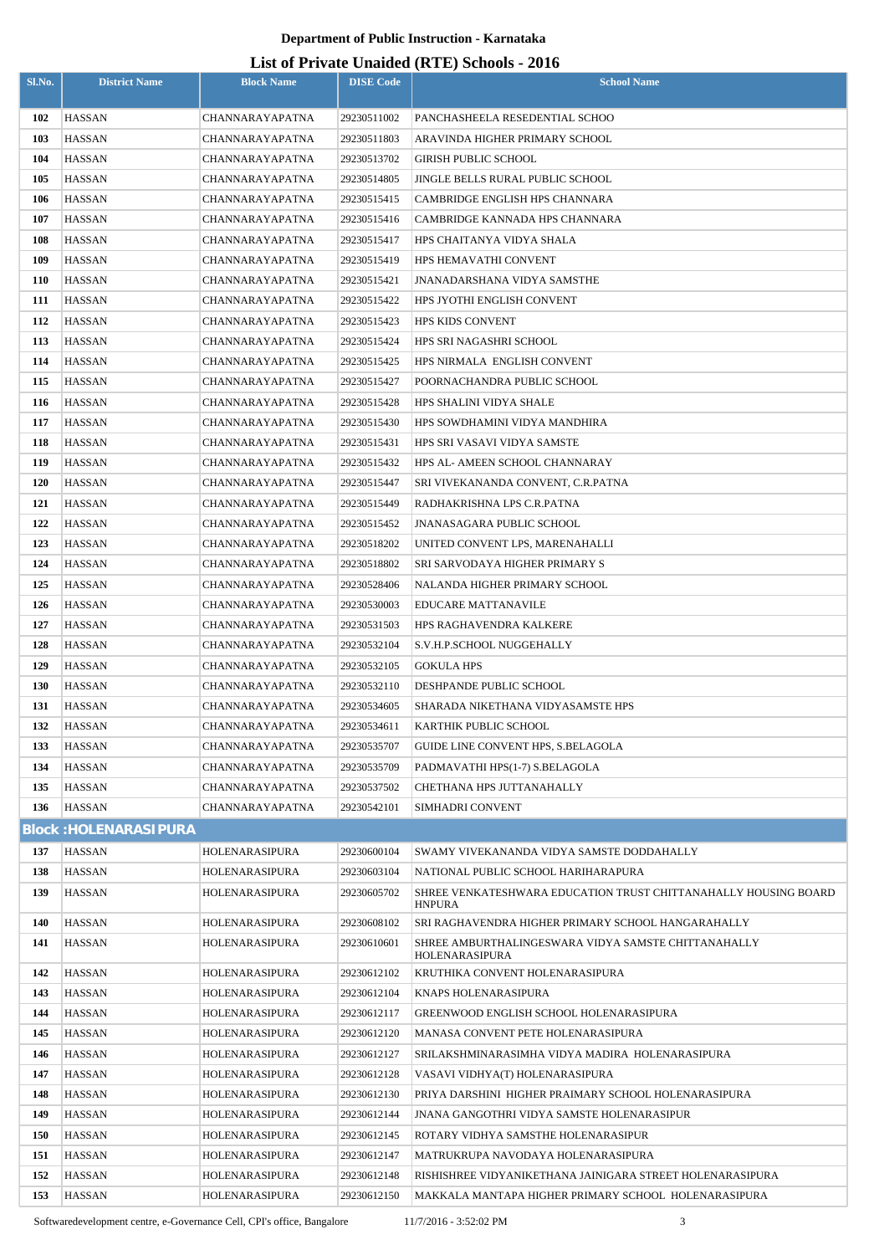# **List of Private Unaided (RTE) Schools - 2016**

| Sl.No.     | <b>District Name</b>           | <b>Block Name</b>                  | <b>DISE Code</b>           | $\mathbf{L}_{\text{D}}$ of The value Unafficient (IVTL) behoofs $\mathbf{F}_{\text{D}}$<br><b>School Name</b> |
|------------|--------------------------------|------------------------------------|----------------------------|---------------------------------------------------------------------------------------------------------------|
|            |                                |                                    |                            |                                                                                                               |
| 102        | HASSAN                         | CHANNARAYAPATNA                    | 29230511002                | PANCHASHEELA RESEDENTIAL SCHOO                                                                                |
| 103<br>104 | HASSAN                         | CHANNARAYAPATNA                    | 29230511803                | ARAVINDA HIGHER PRIMARY SCHOOL                                                                                |
| 105        | HASSAN<br>HASSAN               | CHANNARAYAPATNA<br>CHANNARAYAPATNA | 29230513702<br>29230514805 | GIRISH PUBLIC SCHOOL<br>JINGLE BELLS RURAL PUBLIC SCHOOL                                                      |
| 106        | HASSAN                         | CHANNARAYAPATNA                    | 29230515415                | CAMBRIDGE ENGLISH HPS CHANNARA                                                                                |
| 107        | HASSAN                         | CHANNARAYAPATNA                    | 29230515416                | CAMBRIDGE KANNADA HPS CHANNARA                                                                                |
| 108        | <b>HASSAN</b>                  | CHANNARAYAPATNA                    | 29230515417                | HPS CHAITANYA VIDYA SHALA                                                                                     |
| 109        | <b>HASSAN</b>                  | CHANNARAYAPATNA                    | 29230515419                | HPS HEMAVATHI CONVENT                                                                                         |
| <b>110</b> | HASSAN                         | CHANNARAYAPATNA                    | 29230515421                | <b>JNANADARSHANA VIDYA SAMSTHE</b>                                                                            |
| 111        | <b>HASSAN</b>                  | CHANNARAYAPATNA                    | 29230515422                | HPS JYOTHI ENGLISH CONVENT                                                                                    |
| 112        | <b>HASSAN</b>                  | CHANNARAYAPATNA                    | 29230515423                | <b>HPS KIDS CONVENT</b>                                                                                       |
| 113        | HASSAN                         | CHANNARAYAPATNA                    | 29230515424                | HPS SRI NAGASHRI SCHOOL                                                                                       |
| 114        | <b>HASSAN</b>                  | CHANNARAYAPATNA                    | 29230515425                | HPS NIRMALA ENGLISH CONVENT                                                                                   |
| 115        | <b>HASSAN</b>                  | CHANNARAYAPATNA                    | 29230515427                | POORNACHANDRA PUBLIC SCHOOL                                                                                   |
| 116        | <b>HASSAN</b>                  | CHANNARAYAPATNA                    | 29230515428                | HPS SHALINI VIDYA SHALE                                                                                       |
| 117        | HASSAN                         | CHANNARAYAPATNA                    | 29230515430                | HPS SOWDHAMINI VIDYA MANDHIRA                                                                                 |
| 118        | <b>HASSAN</b>                  | CHANNARAYAPATNA                    | 29230515431                | HPS SRI VASAVI VIDYA SAMSTE                                                                                   |
| 119        | HASSAN                         | CHANNARAYAPATNA                    | 29230515432                | HPS AL- AMEEN SCHOOL CHANNARAY                                                                                |
| <b>120</b> | <b>HASSAN</b>                  | CHANNARAYAPATNA                    | 29230515447                | SRI VIVEKANANDA CONVENT, C.R.PATNA                                                                            |
| 121        | HASSAN                         | CHANNARAYAPATNA                    | 29230515449                | RADHAKRISHNA LPS C.R.PATNA                                                                                    |
| 122        | <b>HASSAN</b>                  | CHANNARAYAPATNA                    | 29230515452                | JNANASAGARA PUBLIC SCHOOL                                                                                     |
| 123        | HASSAN                         | CHANNARAYAPATNA                    | 29230518202                | UNITED CONVENT LPS, MARENAHALLI                                                                               |
| 124        | HASSAN                         | CHANNARAYAPATNA                    | 29230518802                | SRI SARVODAYA HIGHER PRIMARY S                                                                                |
| 125        | HASSAN                         | CHANNARAYAPATNA                    | 29230528406                | NALANDA HIGHER PRIMARY SCHOOL                                                                                 |
| 126        | <b>HASSAN</b>                  | CHANNARAYAPATNA                    | 29230530003                | EDUCARE MATTANAVILE                                                                                           |
| 127        | HASSAN                         | CHANNARAYAPATNA                    | 29230531503                | HPS RAGHAVENDRA KALKERE                                                                                       |
| 128        | HASSAN                         | CHANNARAYAPATNA                    | 29230532104                | S.V.H.P.SCHOOL NUGGEHALLY                                                                                     |
| 129        | <b>HASSAN</b>                  | CHANNARAYAPATNA                    | 29230532105                | GOKULA HPS                                                                                                    |
| <b>130</b> | <b>HASSAN</b>                  | CHANNARAYAPATNA                    | 29230532110                | DESHPANDE PUBLIC SCHOOL                                                                                       |
| 131        | <b>HASSAN</b>                  | <b>CHANNARAYAPATNA</b>             | 29230534605                | SHARADA NIKETHANA VIDYASAMSTE HPS                                                                             |
| 132        | <b>HASSAN</b>                  | CHANNARAYAPATNA                    | 29230534611                | KARTHIK PUBLIC SCHOOL                                                                                         |
| 133        | <b>HASSAN</b>                  | CHANNARAYAPATNA                    | 29230535707                | GUIDE LINE CONVENT HPS, S.BELAGOLA                                                                            |
| 134        | <b>HASSAN</b>                  | CHANNARAYAPATNA                    | 29230535709                | PADMAVATHI HPS(1-7) S.BELAGOLA                                                                                |
| 135        | HASSAN                         | <b>CHANNARAYAPATNA</b>             | 29230537502                | CHETHANA HPS JUTTANAHALLY                                                                                     |
| 136        | <b>HASSAN</b>                  | <b>CHANNARAYAPATNA</b>             | 29230542101                | SIMHADRI CONVENT                                                                                              |
|            | <b>Block: HOLENARASIPURA</b>   |                                    |                            |                                                                                                               |
| 137        | <b>HASSAN</b>                  | HOLENARASIPURA                     | 29230600104                | SWAMY VIVEKANANDA VIDYA SAMSTE DODDAHALLY                                                                     |
| 138<br>139 | <b>HASSAN</b><br><b>HASSAN</b> | HOLENARASIPURA                     | 29230603104                | NATIONAL PUBLIC SCHOOL HARIHARAPURA                                                                           |
|            |                                | HOLENARASIPURA                     | 29230605702                | SHREE VENKATESHWARA EDUCATION TRUST CHITTANAHALLY HOUSING BOARD<br><b>HNPURA</b>                              |
| 140        | HASSAN                         | HOLENARASIPURA                     | 29230608102                | SRI RAGHAVENDRA HIGHER PRIMARY SCHOOL HANGARAHALLY                                                            |
| 141        | <b>HASSAN</b>                  | HOLENARASIPURA                     | 29230610601                | SHREE AMBURTHALINGESWARA VIDYA SAMSTE CHITTANAHALLY<br>HOLENARASIPURA                                         |
| 142        | <b>HASSAN</b>                  | HOLENARASIPURA                     | 29230612102                | KRUTHIKA CONVENT HOLENARASIPURA                                                                               |
| 143        | <b>HASSAN</b>                  | HOLENARASIPURA                     | 29230612104                | KNAPS HOLENARASIPURA                                                                                          |
| 144        | <b>HASSAN</b>                  | HOLENARASIPURA                     | 29230612117                | GREENWOOD ENGLISH SCHOOL HOLENARASIPURA                                                                       |
| 145        | HASSAN                         | HOLENARASIPURA                     | 29230612120                | MANASA CONVENT PETE HOLENARASIPURA                                                                            |
| 146        | <b>HASSAN</b>                  | HOLENARASIPURA                     | 29230612127                | SRILAKSHMINARASIMHA VIDYA MADIRA  HOLENARASIPURA                                                              |
| 147        | HASSAN                         | HOLENARASIPURA                     | 29230612128                | VASAVI VIDHYA(T) HOLENARASIPURA                                                                               |
| 148        | <b>HASSAN</b>                  | HOLENARASIPURA                     | 29230612130                | PRIYA DARSHINI HIGHER PRAIMARY SCHOOL HOLENARASIPURA                                                          |
| 149        | HASSAN                         | HOLENARASIPURA                     | 29230612144                | JNANA GANGOTHRI VIDYA SAMSTE HOLENARASIPUR                                                                    |
| 150        | <b>HASSAN</b>                  | HOLENARASIPURA                     | 29230612145                | ROTARY VIDHYA SAMSTHE HOLENARASIPUR                                                                           |
| 151        | HASSAN                         | HOLENARASIPURA                     | 29230612147                | MATRUKRUPA NAVODAYA HOLENARASIPURA                                                                            |
| 152        | <b>HASSAN</b>                  | HOLENARASIPURA                     | 29230612148                | RISHISHREE VIDYANIKETHANA JAINIGARA STREET HOLENARASIPURA                                                     |
| 153        | <b>HASSAN</b>                  | HOLENARASIPURA                     | 29230612150                | MAKKALA MANTAPA HIGHER PRIMARY SCHOOL HOLENARASIPURA                                                          |

Softwaredevelopment centre, e-Governance Cell, CPI's office, Bangalore 11/7/2016 - 3:52:02 PM 3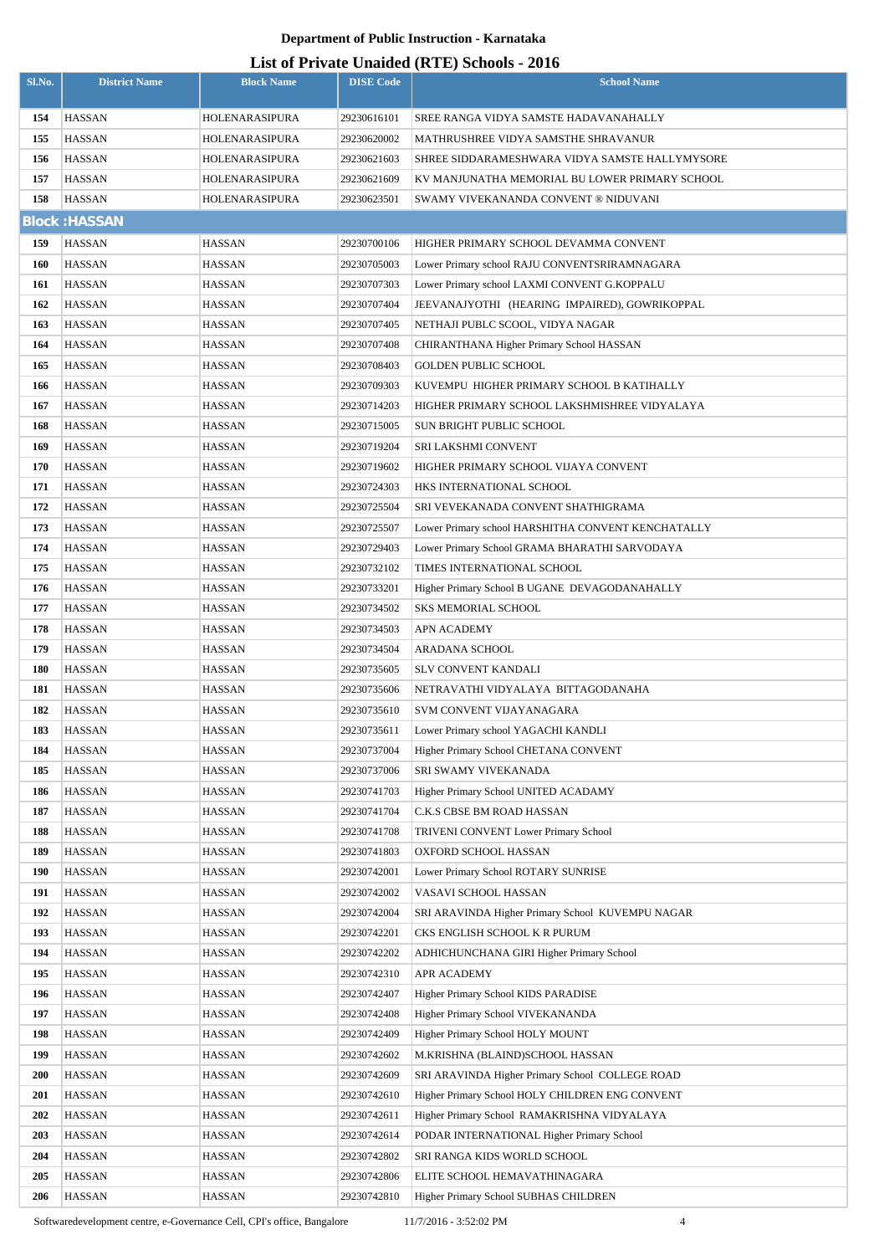# **List of Private Unaided (RTE) Schools - 2016**

|            |                      |                   |                  | List of Frivald Unafued (KTL) Schools - 2010       |
|------------|----------------------|-------------------|------------------|----------------------------------------------------|
| Sl.No.     | <b>District Name</b> | <b>Block Name</b> | <b>DISE Code</b> | <b>School Name</b>                                 |
| 154        | <b>HASSAN</b>        | HOLENARASIPURA    | 29230616101      | SREE RANGA VIDYA SAMSTE HADAVANAHALLY              |
| 155        | <b>HASSAN</b>        | HOLENARASIPURA    | 29230620002      | MATHRUSHREE VIDYA SAMSTHE SHRAVANUR                |
| 156        | <b>HASSAN</b>        | HOLENARASIPURA    | 29230621603      | SHREE SIDDARAMESHWARA VIDYA SAMSTE HALLYMYSORE     |
| 157        | <b>HASSAN</b>        | HOLENARASIPURA    | 29230621609      | KV MANJUNATHA MEMORIAL BU LOWER PRIMARY SCHOOL     |
| 158        | <b>HASSAN</b>        | HOLENARASIPURA    | 29230623501      | SWAMY VIVEKANANDA CONVENT ® NIDUVANI               |
|            | <b>Block: HASSAN</b> |                   |                  |                                                    |
| 159        | <b>HASSAN</b>        | <b>HASSAN</b>     | 29230700106      | HIGHER PRIMARY SCHOOL DEVAMMA CONVENT              |
| 160        | <b>HASSAN</b>        | HASSAN            | 29230705003      | Lower Primary school RAJU CONVENTSRIRAMNAGARA      |
| 161        | HASSAN               | HASSAN            | 29230707303      | Lower Primary school LAXMI CONVENT G.KOPPALU       |
| 162        | <b>HASSAN</b>        | HASSAN            | 29230707404      | JEEVANAJYOTHI (HEARING IMPAIRED), GOWRIKOPPAL      |
| 163        | HASSAN               | HASSAN            | 29230707405      | NETHAJI PUBLC SCOOL, VIDYA NAGAR                   |
| 164        | <b>HASSAN</b>        | HASSAN            | 29230707408      | CHIRANTHANA Higher Primary School HASSAN           |
| 165        | <b>HASSAN</b>        | HASSAN            | 29230708403      | <b>GOLDEN PUBLIC SCHOOL</b>                        |
| 166        | <b>HASSAN</b>        | HASSAN            | 29230709303      | KUVEMPU HIGHER PRIMARY SCHOOL B KATIHALLY          |
| 167        | <b>HASSAN</b>        | HASSAN            | 29230714203      | HIGHER PRIMARY SCHOOL LAKSHMISHREE VIDYALAYA       |
| 168        | <b>HASSAN</b>        | HASSAN            | 29230715005      | SUN BRIGHT PUBLIC SCHOOL                           |
| 169        | HASSAN               | HASSAN            | 29230719204      | SRI LAKSHMI CONVENT                                |
| 170        | <b>HASSAN</b>        | HASSAN            | 29230719602      | HIGHER PRIMARY SCHOOL VIJAYA CONVENT               |
| 171        | <b>HASSAN</b>        | HASSAN            | 29230724303      | HKS INTERNATIONAL SCHOOL                           |
| 172        | <b>HASSAN</b>        | HASSAN            | 29230725504      | SRI VEVEKANADA CONVENT SHATHIGRAMA                 |
| 173        | <b>HASSAN</b>        | HASSAN            | 29230725507      | Lower Primary school HARSHITHA CONVENT KENCHATALLY |
| 174        | <b>HASSAN</b>        | HASSAN            | 29230729403      | Lower Primary School GRAMA BHARATHI SARVODAYA      |
| 175        | <b>HASSAN</b>        | HASSAN            | 29230732102      | TIMES INTERNATIONAL SCHOOL                         |
| 176        | <b>HASSAN</b>        | HASSAN            | 29230733201      | Higher Primary School B UGANE DEVAGODANAHALLY      |
| 177        | <b>HASSAN</b>        | <b>HASSAN</b>     | 29230734502      | <b>SKS MEMORIAL SCHOOL</b>                         |
| 178        | <b>HASSAN</b>        | <b>HASSAN</b>     | 29230734503      | <b>APN ACADEMY</b>                                 |
| 179        | <b>HASSAN</b>        | <b>HASSAN</b>     | 29230734504      | ARADANA SCHOOL                                     |
| 180        | HASSAN               | HASSAN            | 29230735605      | SLV CONVENT KANDALI                                |
| 181        | HASSAN               | <b>HASSAN</b>     | 29230735606      | NETRAVATHI VIDYALAYA BITTAGODANAHA                 |
| 182        | <b>HASSAN</b>        | <b>HASSAN</b>     | 29230735610      | SVM CONVENT VIJAYANAGARA                           |
| 183        | HASSAN               | HASSAN            | 29230735611      | Lower Primary school YAGACHI KANDLI                |
| 184        | HASSAN               | HASSAN            | 29230737004      | Higher Primary School CHETANA CONVENT              |
| 185        | HASSAN               | HASSAN            | 29230737006      | SRI SWAMY VIVEKANADA                               |
| 186        | HASSAN               | HASSAN            | 29230741703      | Higher Primary School UNITED ACADAMY               |
| 187        | HASSAN               | HASSAN            | 29230741704      | C.K.S CBSE BM ROAD HASSAN                          |
| 188        | HASSAN               | HASSAN            | 29230741708      | TRIVENI CONVENT Lower Primary School               |
| 189        | HASSAN               | HASSAN            | 29230741803      | OXFORD SCHOOL HASSAN                               |
| 190        | <b>HASSAN</b>        | HASSAN            | 29230742001      | Lower Primary School ROTARY SUNRISE                |
| 191        | HASSAN               | <b>HASSAN</b>     | 29230742002      | VASAVI SCHOOL HASSAN                               |
| 192        | HASSAN               | HASSAN            | 29230742004      | SRI ARAVINDA Higher Primary School KUVEMPU NAGAR   |
| 193        | HASSAN               | HASSAN            | 29230742201      | CKS ENGLISH SCHOOL K R PURUM                       |
| 194        | <b>HASSAN</b>        | <b>HASSAN</b>     | 29230742202      | ADHICHUNCHANA GIRI Higher Primary School           |
| 195        | HASSAN               | HASSAN            | 29230742310      | APR ACADEMY                                        |
| 196        | HASSAN               | HASSAN            | 29230742407      | Higher Primary School KIDS PARADISE                |
| 197        | HASSAN               | HASSAN            | 29230742408      | Higher Primary School VIVEKANANDA                  |
| 198        | <b>HASSAN</b>        | <b>HASSAN</b>     | 29230742409      | Higher Primary School HOLY MOUNT                   |
| 199        | <b>HASSAN</b>        | HASSAN            | 29230742602      | M.KRISHNA (BLAIND)SCHOOL HASSAN                    |
| <b>200</b> | HASSAN               | HASSAN            | 29230742609      | SRI ARAVINDA Higher Primary School COLLEGE ROAD    |
| <b>201</b> | <b>HASSAN</b>        | <b>HASSAN</b>     | 29230742610      | Higher Primary School HOLY CHILDREN ENG CONVENT    |
| 202        | <b>HASSAN</b>        | <b>HASSAN</b>     | 29230742611      | Higher Primary School RAMAKRISHNA VIDYALAYA        |
| 203        | <b>HASSAN</b>        | <b>HASSAN</b>     | 29230742614      | PODAR INTERNATIONAL Higher Primary School          |
| 204        | <b>HASSAN</b>        | <b>HASSAN</b>     | 29230742802      | SRI RANGA KIDS WORLD SCHOOL                        |
| 205        | HASSAN               | <b>HASSAN</b>     | 29230742806      | ELITE SCHOOL HEMAVATHINAGARA                       |
| <b>206</b> | HASSAN               | <b>HASSAN</b>     | 29230742810      | Higher Primary School SUBHAS CHILDREN              |